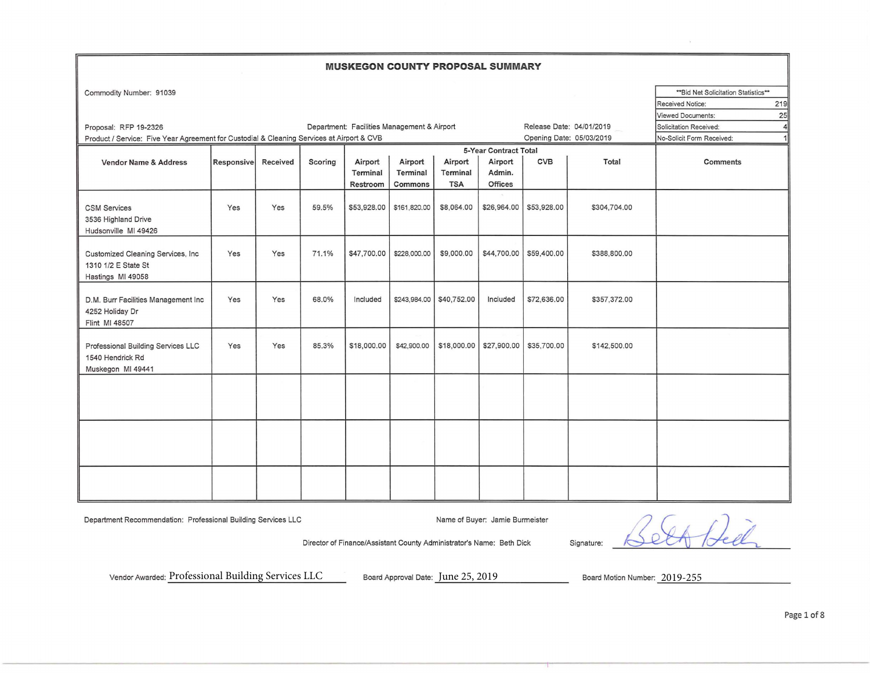## **MUSKEGON COUNTY PROPOSAL SUMMARY**

| Commodity Number: 91039                                                                   |                   |          |         |                                             |              |                          |                       |                           |                          | ** Bid Net Solicitation Statistics** |     |
|-------------------------------------------------------------------------------------------|-------------------|----------|---------|---------------------------------------------|--------------|--------------------------|-----------------------|---------------------------|--------------------------|--------------------------------------|-----|
|                                                                                           |                   |          |         |                                             |              |                          |                       |                           |                          | <b>Received Notice:</b>              | 219 |
|                                                                                           |                   |          |         |                                             |              |                          |                       |                           |                          | <b>Viewed Documents:</b>             | 25  |
| Proposal: RFP 19-2326                                                                     |                   |          |         | Department: Facilities Management & Airport |              |                          |                       |                           | Release Date: 04/01/2019 | Solicitation Received:               | 4   |
| Product / Service: Five Year Agreement for Custodial & Cleaning Services at Airport & CVB |                   |          |         |                                             |              |                          |                       |                           | Opening Date: 05/03/2019 | No-Solicit Form Received:            | 1   |
|                                                                                           |                   |          |         |                                             |              |                          | 5-Year Contract Total |                           |                          |                                      |     |
| Vendor Name & Address                                                                     | <b>Responsive</b> | Received | Scoring | Airport                                     | Airport      | Airport                  | Airport               | <b>CVB</b>                | Total                    | Comments                             |     |
|                                                                                           |                   |          |         | Terminal                                    | Terminal     | Terminal                 | Admin.                |                           |                          |                                      |     |
|                                                                                           |                   |          |         | Restroom                                    | Commons      | <b>TSA</b>               | <b>Offices</b>        |                           |                          |                                      |     |
| <b>CSM Services</b><br>3536 Highland Drive<br>Hudsonville MI 49426                        | Yes               | Yes      | 59.5%   | \$53,928.00                                 | \$161,820.00 | \$8,064.00               | \$26,964.00           | \$53,928.00               | \$304,704.00             |                                      |     |
| Customized Cleaning Services, Inc.<br>1310 1/2 E State St<br>Hastings MI 49058            | Yes               | Yes      | 71.1%   | \$47,700.00                                 | \$228,000.00 | \$9,000.00               |                       | \$44,700.00   \$59,400.00 | \$388,800.00             |                                      |     |
| D.M. Burr Facilities Management Inc<br>4252 Holiday Dr<br>Flint MI 48507                  | Yes               | Yes      | 68.0%   | Included                                    |              | \$243,984.00 \$40,752.00 | Included              | \$72,636.00               | \$357,372.00             |                                      |     |
| Professional Building Services LLC<br>1540 Hendrick Rd<br>Muskegon MI 49441               | Yes               | Yes      | 85.3%   | \$18,000.00                                 | \$42,900.00  | \$18,000.00              | \$27,900.00           | \$35,700.00               | \$142,500.00             |                                      |     |
|                                                                                           |                   |          |         |                                             |              |                          |                       |                           |                          |                                      |     |
|                                                                                           |                   |          |         |                                             |              |                          |                       |                           |                          |                                      |     |
|                                                                                           |                   |          |         |                                             |              |                          |                       |                           |                          |                                      |     |

Department Recommendation: Professional Building Services LLC Name of Buyer: Jamie Burmeister

Director of Finance/Assistant County Administrator's Name: Beth Dick Signature:

Vendor Awarded: Professional Building Services LLC Board Approval Date: June 25, 2019 Board Motion Number: 2019-255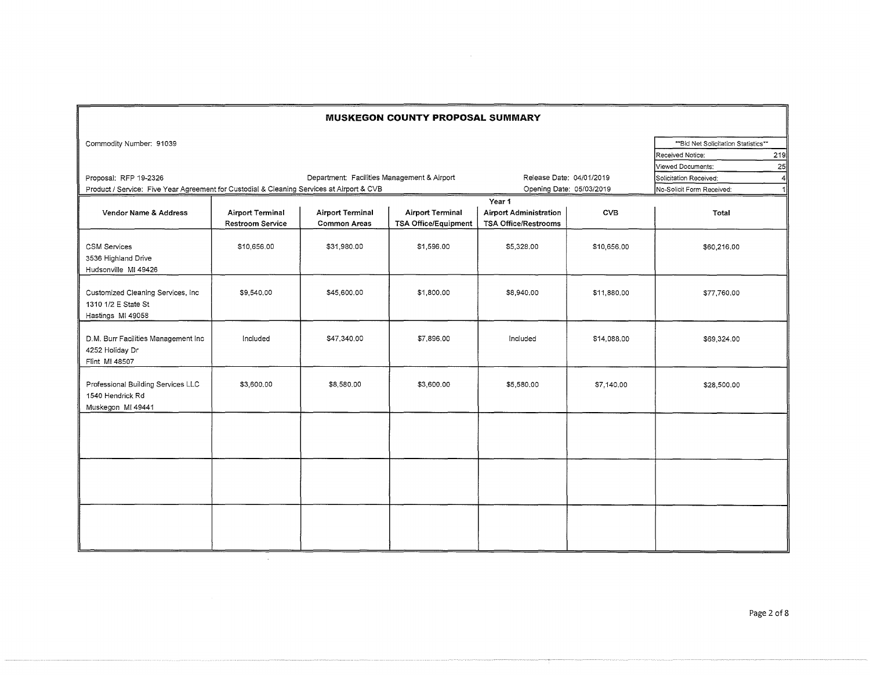| <b>MUSKEGON COUNTY PROPOSAL SUMMARY</b>                                                   |                                             |                                             |                                                        |                                                                        |             |                                                                                            |  |  |
|-------------------------------------------------------------------------------------------|---------------------------------------------|---------------------------------------------|--------------------------------------------------------|------------------------------------------------------------------------|-------------|--------------------------------------------------------------------------------------------|--|--|
| Commodity Number: 91039                                                                   |                                             |                                             |                                                        |                                                                        |             | ** Bid Net Solicitation Statistics**<br>Received Notice:<br>219<br>Viewed Documents:<br>25 |  |  |
| Proposal: RFP 19-2326                                                                     |                                             | Department: Facilities Management & Airport |                                                        | Release Date: 04/01/2019                                               |             | Solicitation Received:<br>4ll                                                              |  |  |
| Product / Service: Five Year Agreement for Custodial & Cleaning Services at Airport & CVB |                                             |                                             |                                                        | Opening Date: 05/03/2019                                               |             | No-Solicit Form Received:                                                                  |  |  |
| Vendor Name & Address                                                                     | <b>Airport Terminal</b><br>Restroom Service | <b>Airport Terminal</b><br>Common Areas     | <b>Airport Terminal</b><br><b>TSA Office/Equipment</b> | Year 1<br><b>Airport Administration</b><br><b>TSA Office/Restrooms</b> | <b>CVB</b>  | Total                                                                                      |  |  |
| CSM Services<br>3536 Highland Drive<br>Hudsonville MI 49426                               | \$10,656.00                                 | \$31,980.00                                 | \$1,596.00                                             | \$5,328.00                                                             | \$10,656.00 | \$60,216.00                                                                                |  |  |
| Customized Cleaning Services, Inc.<br>1310 1/2 E State St<br>Hastings MI 49058            | \$9,540.00                                  | \$45,600.00                                 | \$1,800.00                                             | \$8,940.00                                                             | \$11,880.00 | \$77,760.00                                                                                |  |  |
| D.M. Burr Facilities Management Inc<br>4252 Holiday Dr<br>Flint MI 48507                  | Included                                    | \$47,340.00                                 | \$7,896.00                                             | Included                                                               | \$14,088.00 | \$69,324.00                                                                                |  |  |
| Professional Building Services LLC<br>1540 Hendrick Rd<br>Muskegon MI 49441               | \$3,600.00                                  | \$8,580.00                                  | \$3,600.00                                             | \$5,580.00                                                             | \$7,140.00  | \$28,500.00                                                                                |  |  |
|                                                                                           |                                             |                                             |                                                        |                                                                        |             |                                                                                            |  |  |
|                                                                                           |                                             |                                             |                                                        |                                                                        |             |                                                                                            |  |  |
|                                                                                           |                                             |                                             |                                                        |                                                                        |             |                                                                                            |  |  |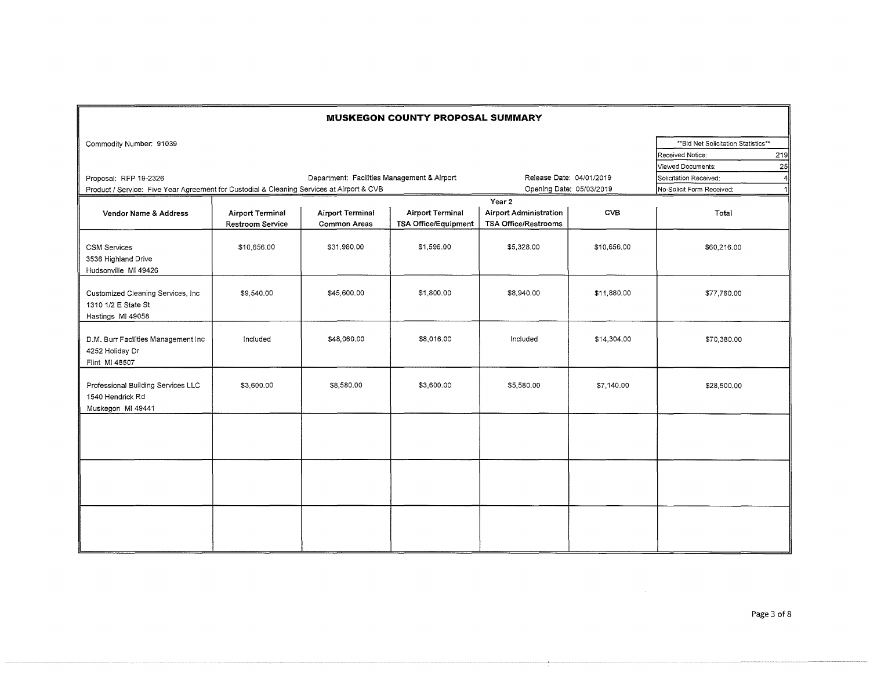| <b>MUSKEGON COUNTY PROPOSAL SUMMARY</b>                                                                                                                           |                                             |                                         |                                                        |                                                                 |             |                                                                                          |  |  |
|-------------------------------------------------------------------------------------------------------------------------------------------------------------------|---------------------------------------------|-----------------------------------------|--------------------------------------------------------|-----------------------------------------------------------------|-------------|------------------------------------------------------------------------------------------|--|--|
| Commodity Number: 91039                                                                                                                                           |                                             |                                         |                                                        |                                                                 |             | ** Bid Net Solicitation Statistics**<br>Received Notice:<br>219                          |  |  |
| Department: Facilities Management & Airport<br>Proposal: RFP 19-2326<br>Product / Service: Five Year Agreement for Custodial & Cleaning Services at Airport & CVB |                                             |                                         |                                                        | Release Date: 04/01/2019<br>Opening Date: 05/03/2019            |             | 25<br>Viewed Documents:<br>Solicitation Received:<br>4<br>No-Solicit Form Received:<br>1 |  |  |
| Vendor Name & Address                                                                                                                                             | <b>Airport Terminal</b><br>Restroom Service | <b>Airport Terminal</b><br>Common Areas | <b>Airport Terminal</b><br><b>TSA Office/Equipment</b> | Year 2<br><b>Airport Administration</b><br>TSA Office/Restrooms | <b>CVB</b>  | Total                                                                                    |  |  |
| <b>CSM Services</b><br>3536 Highland Drive<br>Hudsonville MI 49426                                                                                                | \$10,656.00                                 | \$31,980.00                             | \$1,596.00                                             | \$5,328.00                                                      | \$10,656.00 | \$60,216.00                                                                              |  |  |
| Customized Cleaning Services, Inc.<br>1310 1/2 E State St<br>Hastings MI 49058                                                                                    | \$9,540.00                                  | \$45,600.00                             | \$1,800.00                                             | \$8,940.00                                                      | \$11,880.00 | \$77,760.00                                                                              |  |  |
| D.M. Burr Facilities Management Inc<br>4252 Holiday Dr<br>Flint MI 48507                                                                                          | Included                                    | \$48,060.00                             | \$8,016.00                                             | Included                                                        | \$14,304.00 | \$70,380.00                                                                              |  |  |
| Professional Building Services LLC<br>1540 Hendrick Rd<br>Muskegon MI 49441                                                                                       | \$3,600.00                                  | \$8,580.00                              | \$3,600.00                                             | \$5,580.00                                                      | \$7,140.00  | \$28,500.00                                                                              |  |  |
|                                                                                                                                                                   |                                             |                                         |                                                        |                                                                 |             |                                                                                          |  |  |
|                                                                                                                                                                   |                                             |                                         |                                                        |                                                                 |             |                                                                                          |  |  |
|                                                                                                                                                                   |                                             |                                         |                                                        |                                                                 |             |                                                                                          |  |  |

 $\sim 10^{-1}$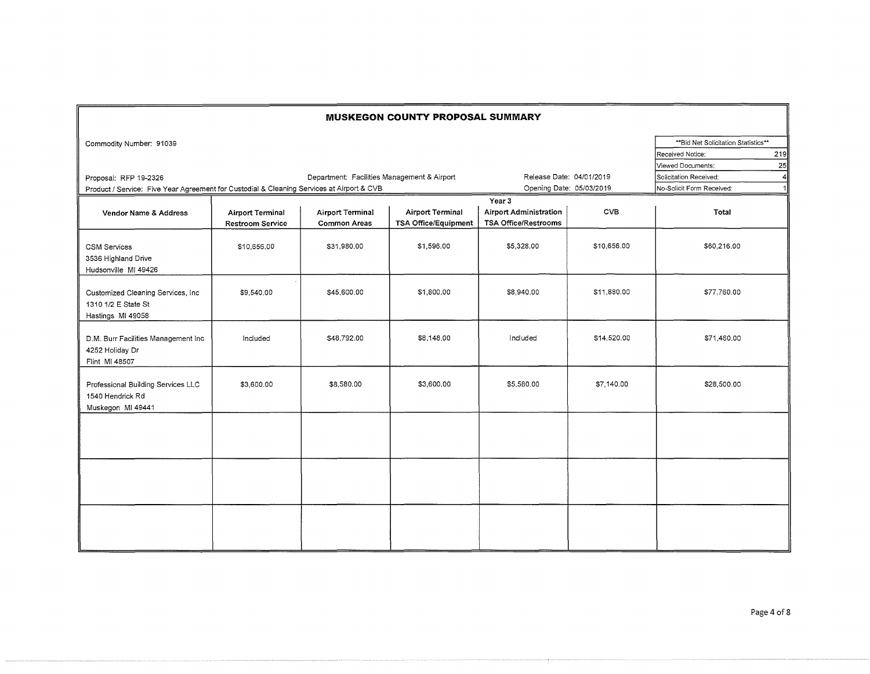| <b>MUSKEGON COUNTY PROPOSAL SUMMARY</b>                                                                                                                           |                                                    |                                         |                                                        |                                                                        |             |                                                                          |     |
|-------------------------------------------------------------------------------------------------------------------------------------------------------------------|----------------------------------------------------|-----------------------------------------|--------------------------------------------------------|------------------------------------------------------------------------|-------------|--------------------------------------------------------------------------|-----|
| Commodity Number: 91039                                                                                                                                           |                                                    |                                         |                                                        |                                                                        |             | ** Bid Net Solicitation Statistics**<br>Received Notice:                 | 219 |
| Department: Facilities Management & Airport<br>Proposal: RFP 19-2326<br>Product / Service: Five Year Agreement for Custodial & Cleaning Services at Airport & CVB |                                                    |                                         |                                                        | Release Date: 04/01/2019<br>Opening Date: 05/03/2019                   |             | Viewed Documents:<br>Solicitation Received:<br>No-Solicit Form Received: | 25  |
| Vendor Name & Address                                                                                                                                             | <b>Airport Terminal</b><br><b>Restroom Service</b> | Airport Terminal<br><b>Common Areas</b> | <b>Airport Terminal</b><br><b>TSA Office/Equipment</b> | Year 3<br><b>Airport Administration</b><br><b>TSA Office/Restrooms</b> | <b>CVB</b>  | Total                                                                    |     |
| <b>CSM Services</b><br>3536 Highland Drive<br>Hudsonville MI 49426                                                                                                | \$10,656.00                                        | \$31,980.00                             | \$1,596.00                                             | \$5,328.00                                                             | \$10,656,00 | \$60,216.00                                                              |     |
| Customized Cleaning Services, Inc.<br>1310 1/2 E State St<br>Hastings MI 49058                                                                                    | \$9,540.00                                         | \$45,600.00                             | \$1,800.00                                             | \$8,940.00                                                             | \$11,880.00 | \$77,760.00                                                              |     |
| D.M. Burr Facilities Management Inc<br>4252 Holiday Dr<br>Flint MI 48507                                                                                          | Included                                           | \$48,792.00                             | \$8,148.00                                             | Included                                                               | \$14,520.00 | \$71,460.00                                                              |     |
| Professional Building Services LLC<br>1540 Hendrick Rd<br>Muskegon MI 49441                                                                                       | \$3,600.00                                         | \$8,580.00                              | \$3,600.00                                             | \$5,580.00                                                             | \$7,140.00  | \$28,500.00                                                              |     |
|                                                                                                                                                                   |                                                    |                                         |                                                        |                                                                        |             |                                                                          |     |
|                                                                                                                                                                   |                                                    |                                         |                                                        |                                                                        |             |                                                                          |     |
|                                                                                                                                                                   |                                                    |                                         |                                                        |                                                                        |             |                                                                          |     |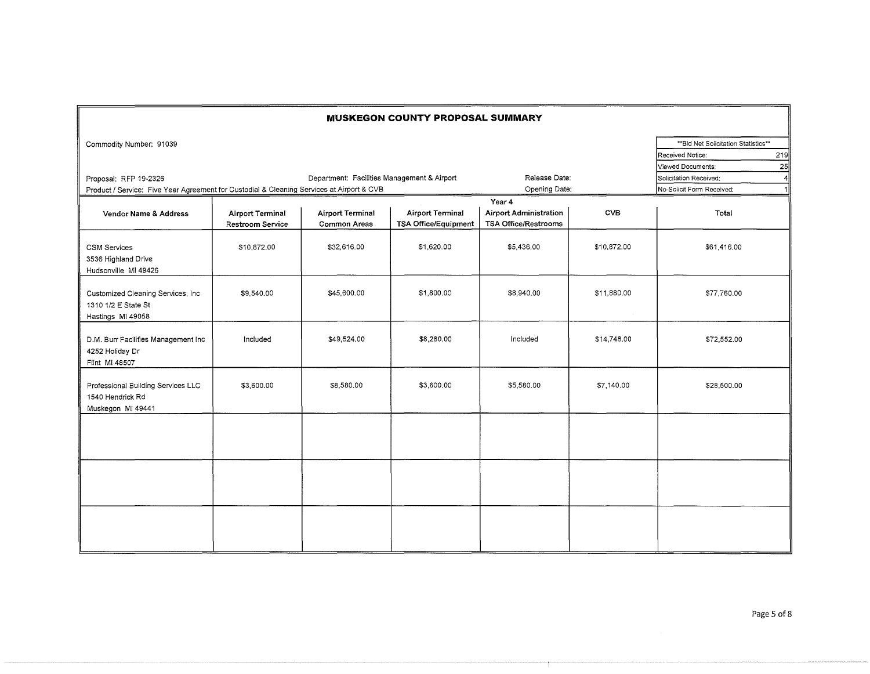| <b>MUSKEGON COUNTY PROPOSAL SUMMARY</b>                                                   |                                                    |                                             |                                                        |                                                                        |             |                                      |     |
|-------------------------------------------------------------------------------------------|----------------------------------------------------|---------------------------------------------|--------------------------------------------------------|------------------------------------------------------------------------|-------------|--------------------------------------|-----|
| Commodity Number: 91039                                                                   |                                                    |                                             |                                                        |                                                                        |             | ** Bid Net Solicitation Statistics** |     |
|                                                                                           |                                                    |                                             |                                                        |                                                                        |             | Received Notice:                     | 219 |
|                                                                                           |                                                    |                                             |                                                        |                                                                        |             | Viewed Documents:                    | 25  |
| Proposal: RFP 19-2326                                                                     |                                                    | Department: Facilities Management & Airport |                                                        | Release Date:                                                          |             | Solicitation Received:               | 4   |
| Product / Service: Five Year Agreement for Custodial & Cleaning Services at Airport & CVB |                                                    |                                             |                                                        | Opening Date:                                                          |             | No-Solicit Form Received:            |     |
| Vendor Name & Address                                                                     | <b>Airport Terminal</b><br><b>Restroom Service</b> | <b>Airport Terminal</b><br>Common Areas     | <b>Airport Terminal</b><br><b>TSA Office/Equipment</b> | Year 4<br><b>Airport Administration</b><br><b>TSA Office/Restrooms</b> | <b>CVB</b>  | Total                                |     |
| <b>CSM Services</b><br>3536 Highland Drive<br>Hudsonville MI 49426                        | \$10,872.00                                        | \$32,616.00                                 | \$1,620.00                                             | \$5,436.00                                                             | \$10,872.00 | \$61,416.00                          |     |
| Customized Cleaning Services, Inc.<br>1310 1/2 E State St<br>Hastings MI 49058            | \$9,540.00                                         | \$45,600.00                                 | \$1,800.00                                             | \$8,940.00                                                             | \$11,880.00 | \$77,760.00                          |     |
| D.M. Burr Facilities Management Inc<br>4252 Holiday Dr<br>Flint MI 48507                  | Included                                           | \$49,524.00                                 | \$8,280.00                                             | Included                                                               | \$14,748.00 | \$72,552.00                          |     |
| Professional Building Services LLC<br>1540 Hendrick Rd<br>Muskegon MI 49441               | \$3,600.00                                         | \$8,580.00                                  | \$3,600.00                                             | \$5,580.00                                                             | \$7,140.00  | \$28,500.00                          |     |
|                                                                                           |                                                    |                                             |                                                        |                                                                        |             |                                      |     |
|                                                                                           |                                                    |                                             |                                                        |                                                                        |             |                                      |     |
|                                                                                           |                                                    |                                             |                                                        |                                                                        |             |                                      |     |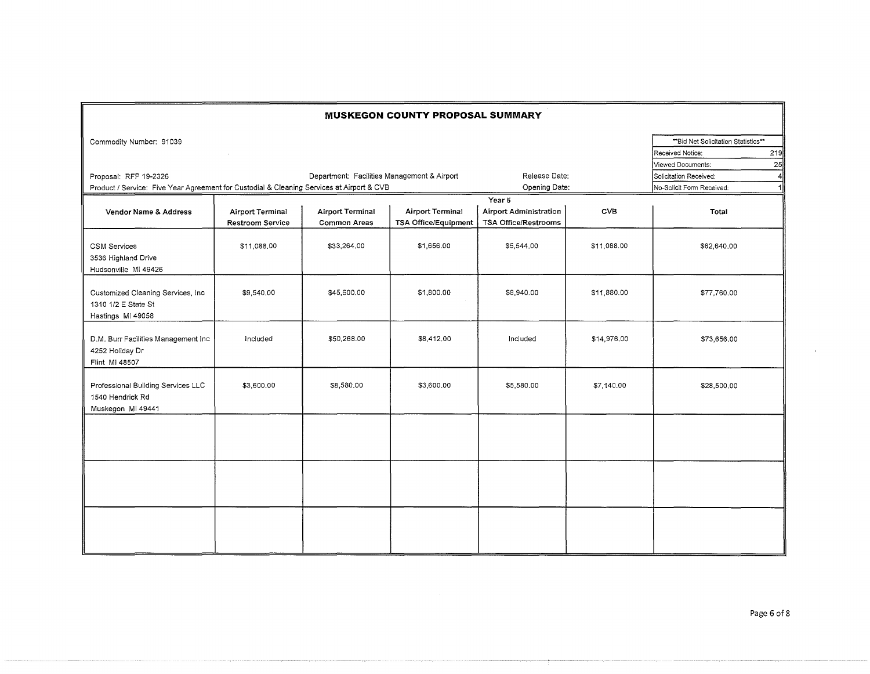|                                                                                |                                                                                                                                          |                                                | <b>MUSKEGON COUNTY PROPOSAL SUMMARY</b>                |                                                                        |                                |                                                                                            |
|--------------------------------------------------------------------------------|------------------------------------------------------------------------------------------------------------------------------------------|------------------------------------------------|--------------------------------------------------------|------------------------------------------------------------------------|--------------------------------|--------------------------------------------------------------------------------------------|
| Commodity Number: 91039                                                        |                                                                                                                                          |                                                |                                                        |                                                                        |                                | ** Bid Net Solicitation Statistics**<br>219<br>Received Notice:<br>Viewed Documents:<br>25 |
| Proposal; RFP 19-2326                                                          | Department: Facilities Management & Airport<br>Product / Service: Five Year Agreement for Custodial & Cleaning Services at Airport & CVB |                                                |                                                        |                                                                        | Release Date:<br>Opening Date: | Solicitation Received:<br>4<br>No-Solicit Form Received:<br>1                              |
| Vendor Name & Address                                                          | <b>Airport Terminal</b><br>Restroom Service                                                                                              | <b>Airport Terminal</b><br><b>Common Areas</b> | <b>Airport Terminal</b><br><b>TSA Office/Equipment</b> | Year 5<br><b>Airport Administration</b><br><b>TSA Office/Restrooms</b> | <b>CVB</b>                     | Total                                                                                      |
| <b>CSM Services</b><br>3536 Highland Drive<br>Hudsonville MI 49426             | \$11,088,00                                                                                                                              | \$33,264,00                                    | \$1,656.00                                             | \$5,544.00                                                             | \$11,088.00                    | \$62,640.00                                                                                |
| Customized Cleaning Services, Inc.<br>1310 1/2 E State St<br>Hastings MI 49058 | \$9,540.00                                                                                                                               | \$45,600.00                                    | \$1,800.00                                             | \$8,940.00                                                             | \$11,880.00                    | \$77,760.00                                                                                |
| D.M. Burr Facilities Management Inc<br>4252 Holiday Dr<br>Flint MI 48507       | Included                                                                                                                                 | \$50,268.00                                    | \$8,412.00                                             | Included                                                               | \$14,976.00                    | \$73,656.00                                                                                |
| Professional Building Services LLC<br>1540 Hendrick Rd<br>Muskegon MI 49441    | \$3,600.00                                                                                                                               | \$8,580.00                                     | \$3,600.00                                             | \$5,580.00                                                             | \$7,140.00                     | \$28,500.00                                                                                |
|                                                                                |                                                                                                                                          |                                                |                                                        |                                                                        |                                |                                                                                            |
|                                                                                |                                                                                                                                          |                                                |                                                        |                                                                        |                                |                                                                                            |
|                                                                                |                                                                                                                                          |                                                |                                                        |                                                                        |                                |                                                                                            |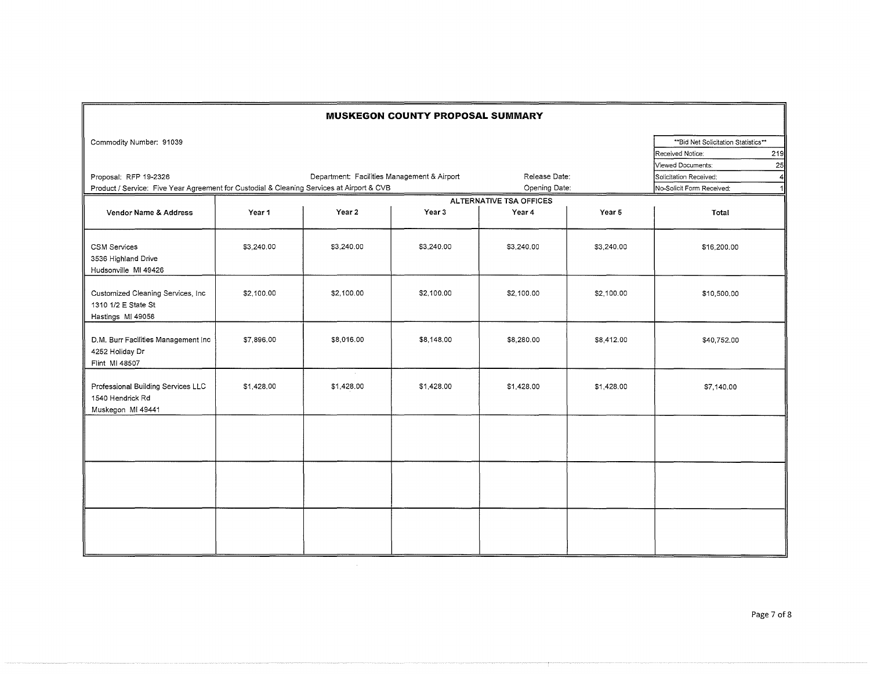| <b>MUSKEGON COUNTY PROPOSAL SUMMARY</b>                                                   |            |                                             |            |                         |            |                                      |     |
|-------------------------------------------------------------------------------------------|------------|---------------------------------------------|------------|-------------------------|------------|--------------------------------------|-----|
| Commodity Number: 91039                                                                   |            |                                             |            |                         |            | ** Bid Net Solicitation Statistics** |     |
|                                                                                           |            |                                             |            |                         |            | Received Notice:                     | 219 |
|                                                                                           |            |                                             |            |                         |            | Viewed Documents:                    | 25  |
| Proposal: RFP 19-2326                                                                     |            | Department: Facilities Management & Airport |            | Release Date:           |            | Solicitation Received:               |     |
| Product / Service: Five Year Agreement for Custodial & Cleaning Services at Airport & CVB |            |                                             |            | Opening Date:           |            | No-Solicit Form Received:            |     |
|                                                                                           |            |                                             |            | ALTERNATIVE TSA OFFICES |            |                                      |     |
| Vendor Name & Address                                                                     | Year 1     | Year 2                                      | Year 3     | Year 4                  | Year 5     | Total                                |     |
| <b>CSM Services</b><br>3536 Highland Drive<br>Hudsonville MI 49426                        | \$3,240.00 | \$3,240.00                                  | \$3,240.00 | \$3,240.00              | \$3,240.00 | \$16,200.00                          |     |
| Customized Cleaning Services, Inc.<br>1310 1/2 E State St<br>Hastings MI 49058            | \$2,100.00 | \$2,100.00                                  | \$2,100.00 | \$2,100,00              | \$2,100.00 | \$10,500.00                          |     |
| D.M. Burr Facilities Management Inc<br>4252 Holiday Dr<br>Flint MI 48507                  | \$7,896.00 | \$8,016.00                                  | \$8,148,00 | \$8,280.00              | \$8,412.00 | \$40,752.00                          |     |
| Professional Building Services LLC<br>1540 Hendrick Rd<br>Muskegon MI 49441               | \$1,428.00 | \$1,428.00                                  | \$1,428.00 | \$1,428.00              | \$1,428.00 | \$7,140.00                           |     |
|                                                                                           |            |                                             |            |                         |            |                                      |     |
|                                                                                           |            |                                             |            |                         |            |                                      |     |
|                                                                                           |            |                                             |            |                         |            |                                      |     |